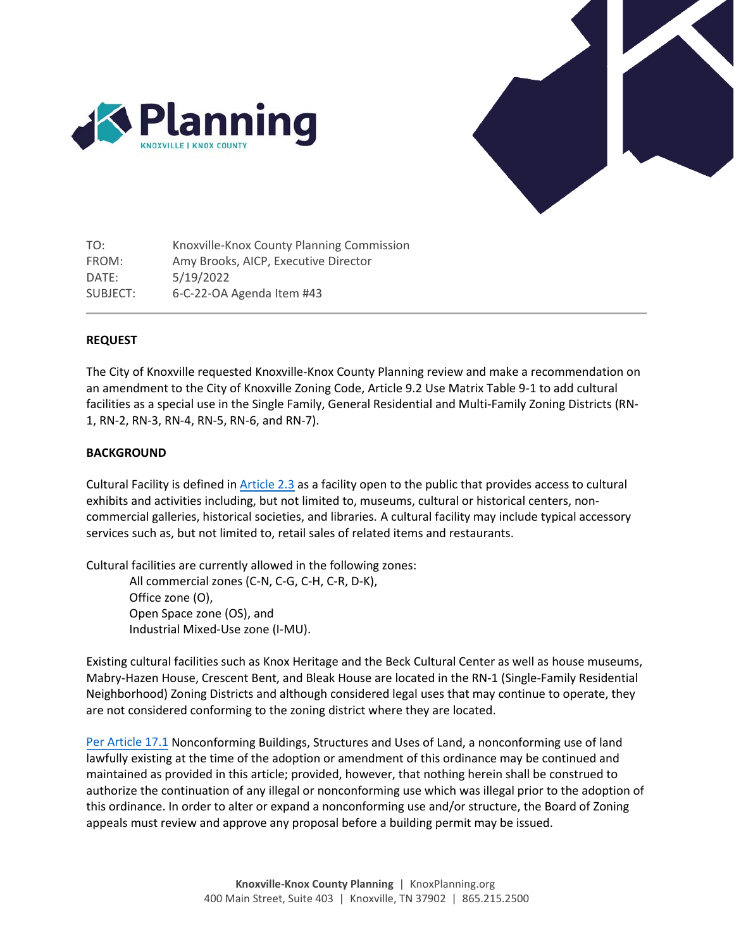



TO: Knoxville-Knox County Planning Commission FROM: Amy Brooks, AICP, Executive Director DATE: 5/19/2022 SUBJECT: 6-C-22-OA Agenda Item #43

#### **REQUEST**

The City of Knoxville requested Knoxville-Knox County Planning review and make a recommendation on an amendment to the City of Knoxville Zoning Code, Article 9.2 Use Matrix Table 9-1 to add cultural facilities as a special use in the Single Family, General Residential and Multi-Family Zoning Districts (RN-1, RN-2, RN-3, RN-4, RN-5, RN-6, and RN-7).

#### **BACKGROUND**

Cultural Facility is defined in [Article 2.3](https://library.municode.com/tn/knoxville/codes/code_of_ordinances?nodeId=APXBZOCO_ART2GEDEMEME_2.3DE) as a facility open to the public that provides access to cultural exhibits and activities including, but not limited to, museums, cultural or historical centers, noncommercial galleries, historical societies, and libraries. A cultural facility may include typical accessory services such as, but not limited to, retail sales of related items and restaurants.

Cultural facilities are currently allowed in the following zones:

All commercial zones (C-N, C-G, C-H, C-R, D-K), Office zone (O), Open Space zone (OS), and Industrial Mixed-Use zone (I-MU).

Existing cultural facilities such as Knox Heritage and the Beck Cultural Center as well as house museums, Mabry-Hazen House, Crescent Bent, and Bleak House are located in the RN-1 (Single-Family Residential Neighborhood) Zoning Districts and although considered legal uses that may continue to operate, they are not considered conforming to the zoning district where they are located.

[Per Article 17.1](https://library.municode.com/tn/knoxville/codes/code_of_ordinances?nodeId=APXBZOCO_ART17NO_17.1NOBUSTUSLA) Nonconforming Buildings, Structures and Uses of Land, a nonconforming use of land lawfully existing at the time of the adoption or amendment of this ordinance may be continued and maintained as provided in this article; provided, however, that nothing herein shall be construed to authorize the continuation of any illegal or nonconforming use which was illegal prior to the adoption of this ordinance. In order to alter or expand a nonconforming use and/or structure, the Board of Zoning appeals must review and approve any proposal before a building permit may be issued.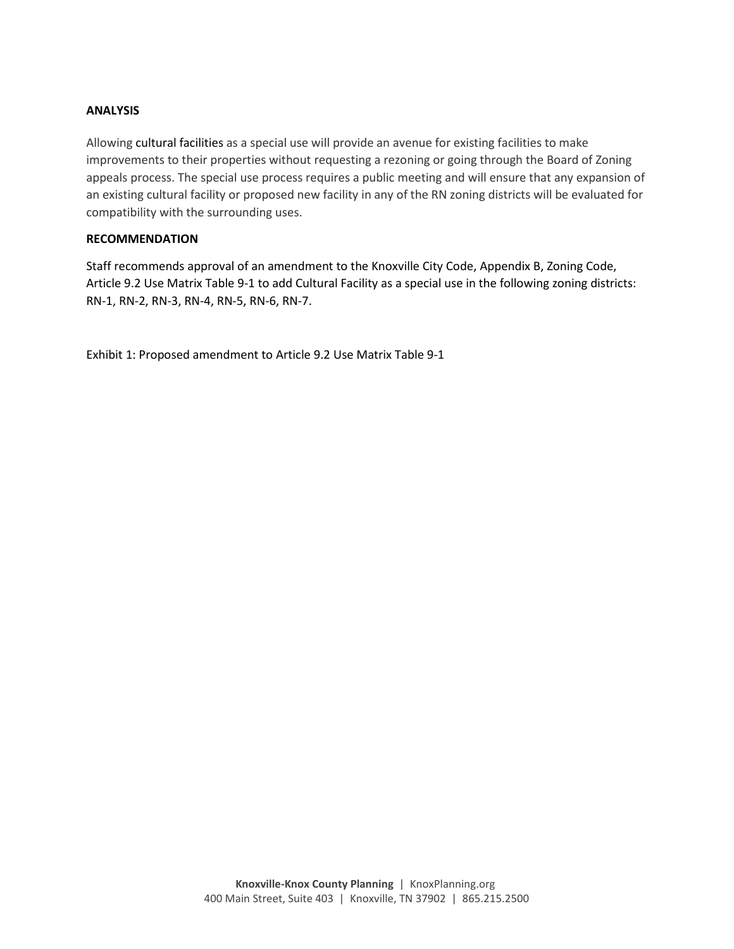#### **ANALYSIS**

Allowing cultural facilities as a special use will provide an avenue for existing facilities to make improvements to their properties without requesting a rezoning or going through the Board of Zoning appeals process. The special use process requires a public meeting and will ensure that any expansion of an existing cultural facility or proposed new facility in any of the RN zoning districts will be evaluated for compatibility with the surrounding uses.

#### **RECOMMENDATION**

Staff recommends approval of an amendment to the Knoxville City Code, Appendix B, Zoning Code, Article 9.2 Use Matrix Table 9-1 to add Cultural Facility as a special use in the following zoning districts: RN-1, RN-2, RN-3, RN-4, RN-5, RN-6, RN-7.

Exhibit 1: Proposed amendment to Article 9.2 Use Matrix Table 9-1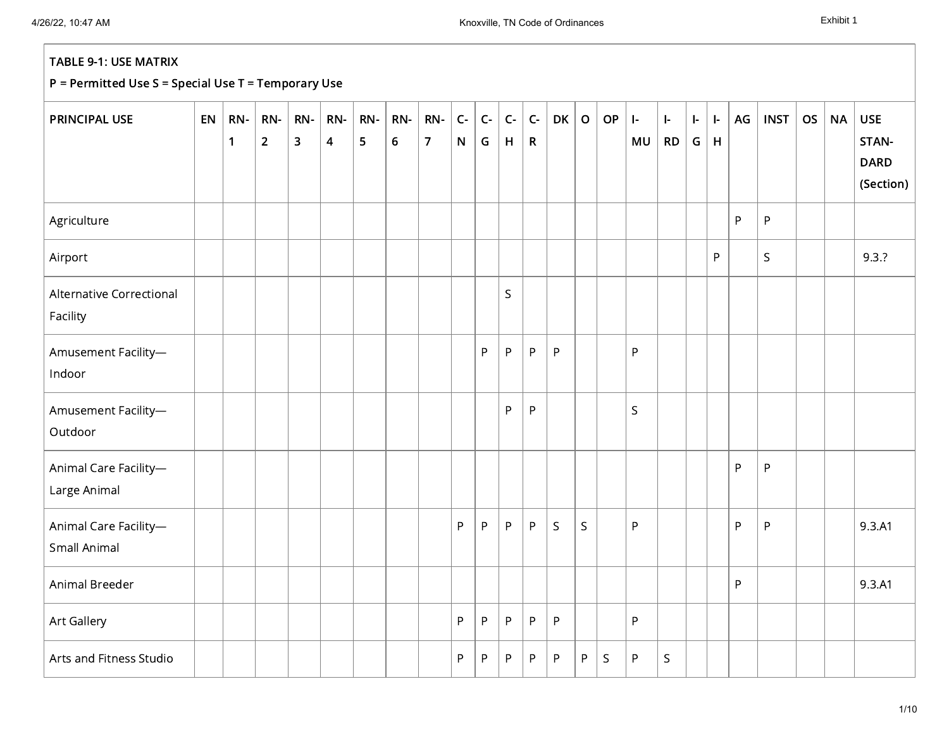| <b>PRINCIPAL USE</b>                  | EN | RN-<br>$\mathbf{1}$ | RN-<br>$\overline{2}$ | RN-<br>3 | RN-<br>$\overline{4}$ | RN-<br>5 | RN-<br>$6\phantom{1}$ | RN-<br>$\overline{7}$ | $\mathsf{C}\text{-}$<br>$\mathsf{N}$ | $\mathsf{C}\text{-}$<br>G | $\mathsf{C}\text{-}$<br>H | $C -$<br>$\mathsf{R}$ | DK      | $\mathsf{o}$ | OP | $\vdash$<br>MU | $\mathbf{I}$<br>RD | $\left  \cdot \right $<br>G | $\left  \cdot \right $<br>H | AG | <b>INST</b> | <b>OS</b> | <b>NA</b> | <b>USE</b><br>STAN-<br><b>DARD</b><br>(Section) |
|---------------------------------------|----|---------------------|-----------------------|----------|-----------------------|----------|-----------------------|-----------------------|--------------------------------------|---------------------------|---------------------------|-----------------------|---------|--------------|----|----------------|--------------------|-----------------------------|-----------------------------|----|-------------|-----------|-----------|-------------------------------------------------|
| Agriculture                           |    |                     |                       |          |                       |          |                       |                       |                                      |                           |                           |                       |         |              |    |                |                    |                             |                             | P  | P           |           |           |                                                 |
| Airport                               |    |                     |                       |          |                       |          |                       |                       |                                      |                           |                           |                       |         |              |    |                |                    |                             | P                           |    | $\mathsf S$ |           |           | 9.3.7                                           |
| Alternative Correctional<br>Facility  |    |                     |                       |          |                       |          |                       |                       |                                      |                           | $\mathsf S$               |                       |         |              |    |                |                    |                             |                             |    |             |           |           |                                                 |
| Amusement Facility-<br>Indoor         |    |                     |                       |          |                       |          |                       |                       |                                      | P                         | P                         | $\sf P$               | P       |              |    | P              |                    |                             |                             |    |             |           |           |                                                 |
| Amusement Facility-<br>Outdoor        |    |                     |                       |          |                       |          |                       |                       |                                      |                           | P                         | $\sf P$               |         |              |    | $\mathsf{S}$   |                    |                             |                             |    |             |           |           |                                                 |
| Animal Care Facility-<br>Large Animal |    |                     |                       |          |                       |          |                       |                       |                                      |                           |                           |                       |         |              |    |                |                    |                             |                             | P  | P           |           |           |                                                 |
| Animal Care Facility-<br>Small Animal |    |                     |                       |          |                       |          |                       |                       | P                                    | $\sf P$                   | $\mathsf{P}$              | $\sf P$               | $\sf S$ | $\mathsf S$  |    | P              |                    |                             |                             | P  | $\sf P$     |           |           | 9.3.A1                                          |
| Animal Breeder                        |    |                     |                       |          |                       |          |                       |                       |                                      |                           |                           |                       |         |              |    |                |                    |                             |                             | P  |             |           |           | 9.3.A1                                          |
| Art Gallery                           |    |                     |                       |          |                       |          |                       |                       | P                                    | P                         | P                         | ${\sf P}$             | P       |              |    | P.             |                    |                             |                             |    |             |           |           |                                                 |
| Arts and Fitness Studio               |    |                     |                       |          |                       |          |                       |                       | P                                    | P                         | P                         | P                     | P       | P            | S  | P              | $\sf S$            |                             |                             |    |             |           |           |                                                 |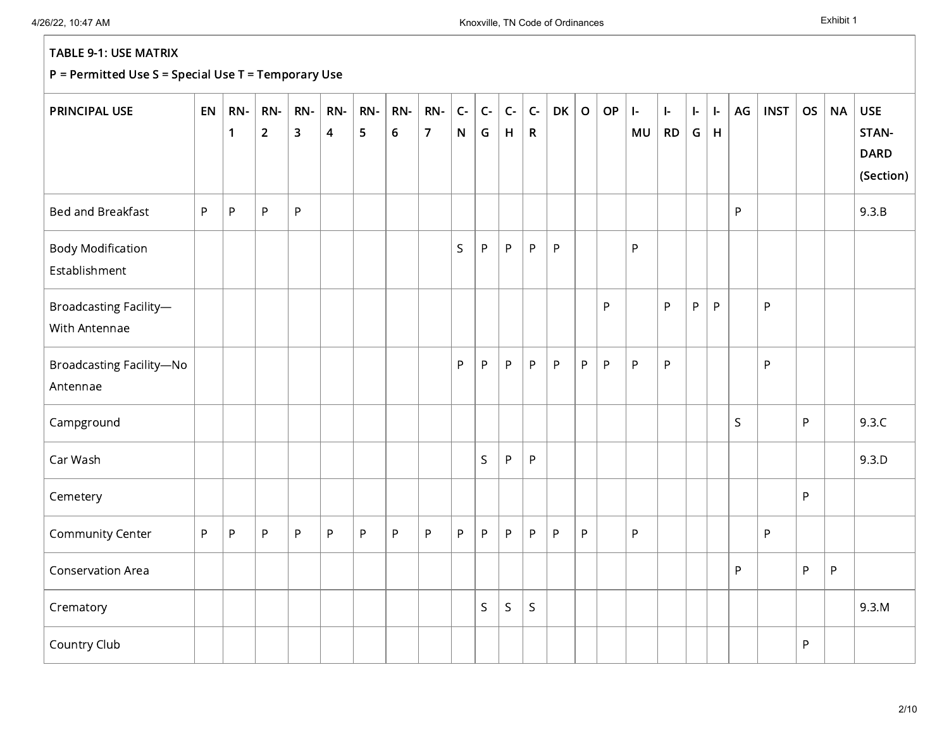| <b>PRINCIPAL USE</b>                      | EN | RN-<br>$\mathbf{1}$ | RN-<br>$\overline{2}$ | RN-<br>$\overline{\mathbf{3}}$ | RN-<br>$\overline{\mathbf{4}}$ | RN-<br>5 | RN-<br>$\boldsymbol{6}$ | RN-<br>$\overline{7}$ | $C -$<br>${\sf N}$ | $C-$<br>G   | $C -$<br>H  | $C -$<br>$\mathsf{R}$ | <b>DK</b> | $\mathbf O$ | <b>OP</b> | $\vdash$<br>MU | $\vert$ -<br><b>RD</b> | $\left  \cdot \right $<br>G | ŀ.<br>$\mathsf H$ | AG           | <b>INST</b> | <b>OS</b>    | <b>NA</b> | <b>USE</b><br>STAN-<br><b>DARD</b><br>(Section) |
|-------------------------------------------|----|---------------------|-----------------------|--------------------------------|--------------------------------|----------|-------------------------|-----------------------|--------------------|-------------|-------------|-----------------------|-----------|-------------|-----------|----------------|------------------------|-----------------------------|-------------------|--------------|-------------|--------------|-----------|-------------------------------------------------|
| Bed and Breakfast                         | P  | ${\sf P}$           | ${\sf P}$             | P                              |                                |          |                         |                       |                    |             |             |                       |           |             |           |                |                        |                             |                   | P            |             |              |           | 9.3.B                                           |
| <b>Body Modification</b><br>Establishment |    |                     |                       |                                |                                |          |                         |                       | $\mathsf{S}$       | P.          | $\sf P$     | P                     | ${\sf P}$ |             |           | P              |                        |                             |                   |              |             |              |           |                                                 |
| Broadcasting Facility-<br>With Antennae   |    |                     |                       |                                |                                |          |                         |                       |                    |             |             |                       |           |             | P         |                | P                      | P                           | $\mathsf{P}$      |              | P           |              |           |                                                 |
| Broadcasting Facility-No<br>Antennae      |    |                     |                       |                                |                                |          |                         |                       | P                  | P           | P           | P                     | ${\sf P}$ | P           | P         | P              | P                      |                             |                   |              | P           |              |           |                                                 |
| Campground                                |    |                     |                       |                                |                                |          |                         |                       |                    |             |             |                       |           |             |           |                |                        |                             |                   | $\mathsf{S}$ |             | P            |           | 9.3.C                                           |
| Car Wash                                  |    |                     |                       |                                |                                |          |                         |                       |                    | $\mathsf S$ | $\sf P$     | $\sf P$               |           |             |           |                |                        |                             |                   |              |             |              |           | 9.3.D                                           |
| Cemetery                                  |    |                     |                       |                                |                                |          |                         |                       |                    |             |             |                       |           |             |           |                |                        |                             |                   |              |             | P            |           |                                                 |
| Community Center                          | P  | $\sf P$             | $\sf P$               | P                              | P                              | $\sf P$  | P                       | $\sf P$               | P                  | P           | P           | P                     | ${\sf P}$ | P           |           | P              |                        |                             |                   |              | $\sf P$     |              |           |                                                 |
| Conservation Area                         |    |                     |                       |                                |                                |          |                         |                       |                    |             |             |                       |           |             |           |                |                        |                             |                   | P            |             | $\mathsf{P}$ | P         |                                                 |
| Crematory                                 |    |                     |                       |                                |                                |          |                         |                       |                    | S           | $\mathsf S$ | $\sf S$               |           |             |           |                |                        |                             |                   |              |             |              |           | 9.3.M                                           |
| Country Club                              |    |                     |                       |                                |                                |          |                         |                       |                    |             |             |                       |           |             |           |                |                        |                             |                   |              |             | P            |           |                                                 |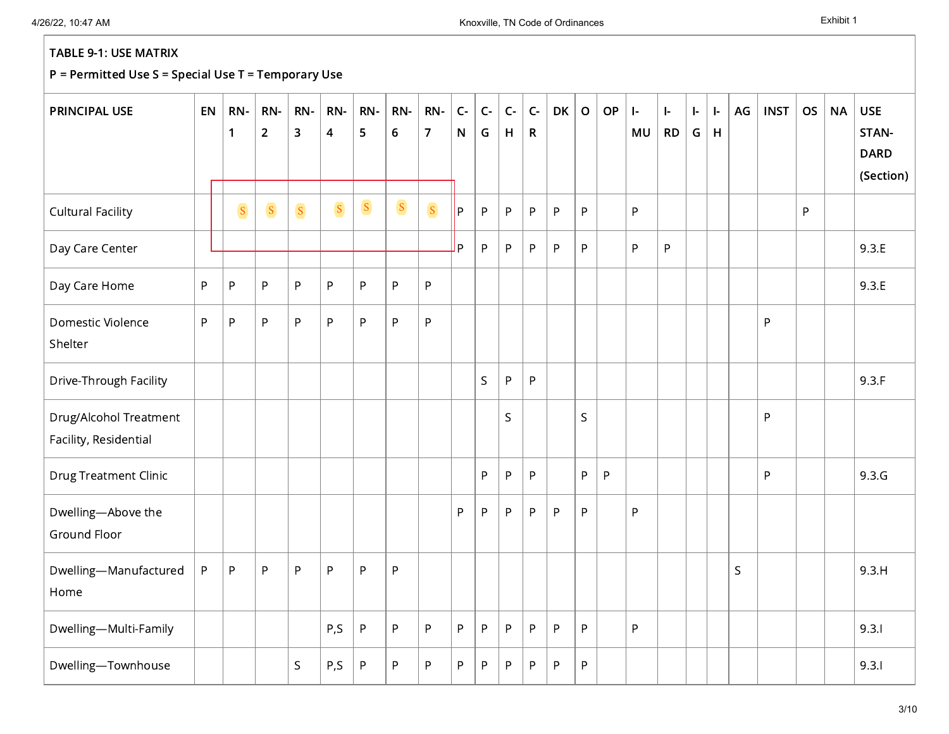| <b>PRINCIPAL USE</b>                            | EN      | RN-<br>$\mathbf{1}$ | RN-<br>$\overline{2}$ | RN-<br>3     | RN-<br>$\overline{\mathbf{4}}$ | RN-<br>5        | RN-<br>$\boldsymbol{6}$ | RN-<br>$\overline{7}$ | $\mathsf{C}\text{-}$<br>$\mathsf{N}$ | $C-$<br>G   | $C-$<br>H    | $C -$<br>$\mathsf{R}$ | DK        | $\mathsf O$  | OP             | $\vert$ -<br>MU | $\vert$ -<br><b>RD</b> | $\mathbf{I}$<br>G | ŀ.<br>$\mathsf H$ | AG | <b>INST</b> | <b>OS</b> | <b>NA</b> | <b>USE</b><br>STAN-<br><b>DARD</b><br>(Section) |
|-------------------------------------------------|---------|---------------------|-----------------------|--------------|--------------------------------|-----------------|-------------------------|-----------------------|--------------------------------------|-------------|--------------|-----------------------|-----------|--------------|----------------|-----------------|------------------------|-------------------|-------------------|----|-------------|-----------|-----------|-------------------------------------------------|
| <b>Cultural Facility</b>                        |         | $\mathbf S$         | S                     | $\mathbf S$  | $\overline{\mathbf{S}}$        | $\vert S \vert$ | $\mathbf S$             | $\mathbf S$           | l P                                  | P           | P            | P                     | P         | P            |                | P               |                        |                   |                   |    |             | P         |           |                                                 |
| Day Care Center                                 |         |                     |                       |              |                                |                 |                         |                       | l P                                  | P           | P            | P                     | P         | P            |                | P               | P                      |                   |                   |    |             |           |           | 9.3.E                                           |
| Day Care Home                                   | $\sf P$ | $\sf P$             | ${\sf P}$             | P            | P                              | $\sf P$         | $\sf P$                 | ${\sf P}$             |                                      |             |              |                       |           |              |                |                 |                        |                   |                   |    |             |           |           | 9.3.E                                           |
| Domestic Violence<br>Shelter                    | $\sf P$ | $\sf P$             | ${\sf P}$             | P            | P                              | P               | $\sf P$                 | $\sf P$               |                                      |             |              |                       |           |              |                |                 |                        |                   |                   |    | P           |           |           |                                                 |
| Drive-Through Facility                          |         |                     |                       |              |                                |                 |                         |                       |                                      | $\mathsf S$ | P            | ${\sf P}$             |           |              |                |                 |                        |                   |                   |    |             |           |           | 9.3.F                                           |
| Drug/Alcohol Treatment<br>Facility, Residential |         |                     |                       |              |                                |                 |                         |                       |                                      |             | S.           |                       |           | $\mathsf{S}$ |                |                 |                        |                   |                   |    | P           |           |           |                                                 |
| <b>Drug Treatment Clinic</b>                    |         |                     |                       |              |                                |                 |                         |                       |                                      | P           | $\mathsf{P}$ | ${\sf P}$             |           | P            | $\overline{P}$ |                 |                        |                   |                   |    | P           |           |           | 9.3.G                                           |
| Dwelling-Above the<br>Ground Floor              |         |                     |                       |              |                                |                 |                         |                       | P                                    | P.          | P            | P                     | P         | P            |                | P               |                        |                   |                   |    |             |           |           |                                                 |
| Dwelling-Manufactured<br>Home                   | $\sf P$ | $\sf P$             | ${\sf P}$             | P            | P                              | P               | ${\sf P}$               |                       |                                      |             |              |                       |           |              |                |                 |                        |                   |                   | S. |             |           |           | 9.3.H                                           |
| Dwelling-Multi-Family                           |         |                     |                       |              | P,S                            | $\sf P$         | ${\sf P}$               | ${\sf P}$             | P                                    | P           | P            | P                     | P         | P            |                | P               |                        |                   |                   |    |             |           |           | 9.3.1                                           |
| Dwelling-Townhouse                              |         |                     |                       | $\mathsf{S}$ | P,S                            | $\sf P$         | ${\sf P}$               | $\sf P$               | P                                    | P           | P            | P                     | ${\sf P}$ | $\sf P$      |                |                 |                        |                   |                   |    |             |           |           | 9.3.1                                           |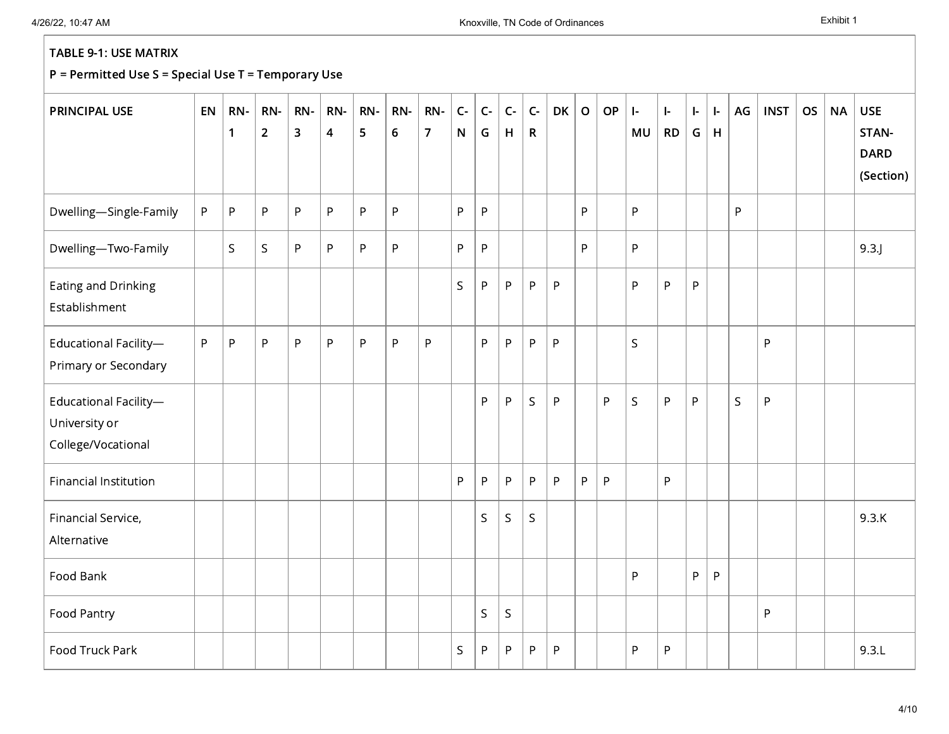| <b>PRINCIPAL USE</b>                                         | EN | RN-<br>$\mathbf{1}$ | RN-<br>$\overline{2}$ | RN-<br>$\mathbf{3}$ | RN-<br>$\overline{\mathbf{4}}$ | RN-<br>5     | RN-<br>$\boldsymbol{6}$ | RN-<br>$\overline{7}$ | $C -$<br>N   | $\mathsf{C}\text{-}$<br>G | $\mathsf{C}\text{-}$<br>H | $C -$<br>$\mathsf{R}$ | DK           | $\mathbf O$ | OP | $\mathbf{I}$<br>MU | $\mathbf{I}$<br><b>RD</b> | ŀ.<br>G | $\mathbf{L}$<br>H | AG          | <b>INST</b> | <b>OS</b> | <b>NA</b> | <b>USE</b><br>STAN-<br><b>DARD</b><br>(Section) |
|--------------------------------------------------------------|----|---------------------|-----------------------|---------------------|--------------------------------|--------------|-------------------------|-----------------------|--------------|---------------------------|---------------------------|-----------------------|--------------|-------------|----|--------------------|---------------------------|---------|-------------------|-------------|-------------|-----------|-----------|-------------------------------------------------|
| Dwelling-Single-Family                                       | P  | $\sf P$             | $\sf P$               | P                   | P                              | P            | $\sf P$                 |                       | $\mathsf{P}$ | P                         |                           |                       |              | P           |    | P                  |                           |         |                   | P.          |             |           |           |                                                 |
| Dwelling-Two-Family                                          |    | S                   | $\sf S$               | P                   | P                              | P            | $\sf P$                 |                       | P            | P                         |                           |                       |              | P           |    | $\mathsf{P}$       |                           |         |                   |             |             |           |           | 9.3                                             |
| Eating and Drinking<br>Establishment                         |    |                     |                       |                     |                                |              |                         |                       | $\mathsf S$  | P                         | P                         | P                     | P            |             |    | P                  | P                         | P       |                   |             |             |           |           |                                                 |
| Educational Facility-<br>Primary or Secondary                | P  | P                   | ${\sf P}$             | P                   | P                              | $\mathsf{P}$ | ${\sf P}$               | ${\sf P}$             |              | P                         | P                         | P                     | $\mathsf{P}$ |             |    | S                  |                           |         |                   |             | ${\sf P}$   |           |           |                                                 |
| Educational Facility-<br>University or<br>College/Vocational |    |                     |                       |                     |                                |              |                         |                       |              | P                         | P                         | $\mathsf S$           | $\sf P$      |             | P  | $\mathsf S$        | P                         | P       |                   | $\mathsf S$ | $\sf P$     |           |           |                                                 |
| <b>Financial Institution</b>                                 |    |                     |                       |                     |                                |              |                         |                       | P            | P                         | P                         | P                     | P            | P           | P  |                    | P                         |         |                   |             |             |           |           |                                                 |
| Financial Service,<br>Alternative                            |    |                     |                       |                     |                                |              |                         |                       |              | S                         | S.                        | $\mathsf S$           |              |             |    |                    |                           |         |                   |             |             |           |           | 9.3.K                                           |
| Food Bank                                                    |    |                     |                       |                     |                                |              |                         |                       |              |                           |                           |                       |              |             |    | P                  |                           | P       | P                 |             |             |           |           |                                                 |
| Food Pantry                                                  |    |                     |                       |                     |                                |              |                         |                       |              | $\sf S$                   | $\mathsf S$               |                       |              |             |    |                    |                           |         |                   |             | P           |           |           |                                                 |
| Food Truck Park                                              |    |                     |                       |                     |                                |              |                         |                       | $\mathsf S$  | P                         | P                         | P                     | P            |             |    | P                  | P                         |         |                   |             |             |           |           | 9.3.L                                           |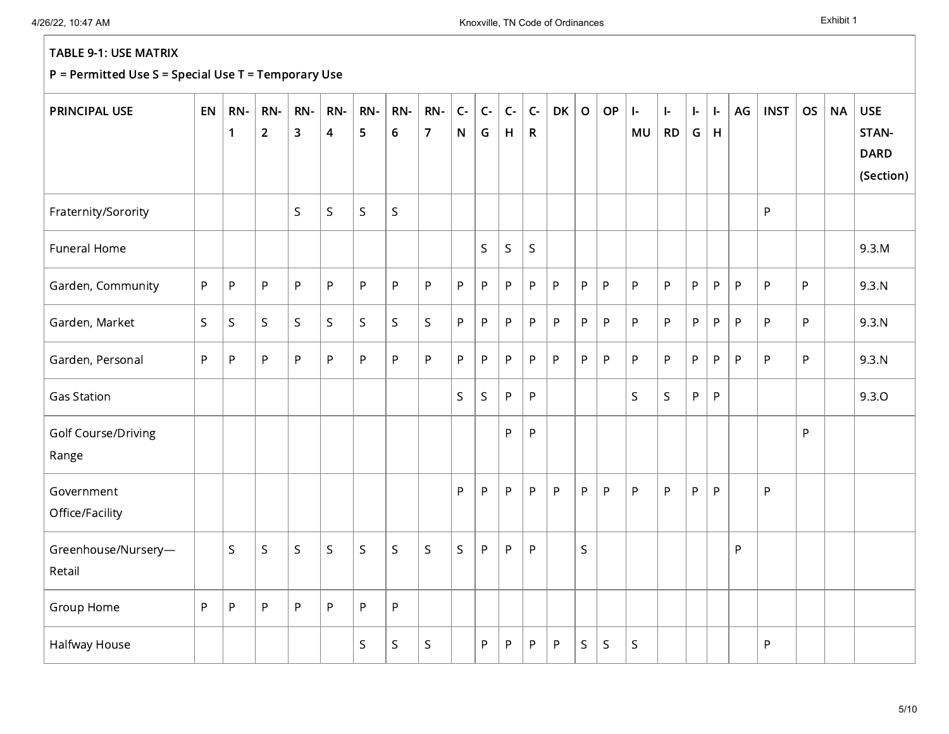| <b>PRINCIPAL USE</b>          | EN           | RN-<br>1     | RN-<br>$\overline{2}$ | RN-<br>3     | RN-<br>$\overline{\mathbf{4}}$ | RN-<br>5    | RN-<br>$6\phantom{1}6$ | RN-<br>$\overline{7}$ | $C -$<br>$\mathsf{N}$ | $C -$<br>G  | $C -$<br>H | $C -$<br>$\mathsf{R}$ | <b>DK</b> | $\mathsf{o}$ | OP           | $\left  \cdot \right $<br>MU | $\mathbf{I}$<br><b>RD</b> | $\left  \cdot \right $<br>G | $\mathsf{L}$<br>$\mathsf H$ | AG | <b>INST</b> | <b>OS</b> | <b>NA</b> | <b>USE</b><br>STAN-<br><b>DARD</b><br>(Section) |
|-------------------------------|--------------|--------------|-----------------------|--------------|--------------------------------|-------------|------------------------|-----------------------|-----------------------|-------------|------------|-----------------------|-----------|--------------|--------------|------------------------------|---------------------------|-----------------------------|-----------------------------|----|-------------|-----------|-----------|-------------------------------------------------|
| Fraternity/Sorority           |              |              |                       | $\mathsf S$  | S.                             | $\mathsf S$ | $\mathsf S$            |                       |                       |             |            |                       |           |              |              |                              |                           |                             |                             |    | P           |           |           |                                                 |
| Funeral Home                  |              |              |                       |              |                                |             |                        |                       |                       | $\mathsf S$ | S          | $\mathsf S$           |           |              |              |                              |                           |                             |                             |    |             |           |           | 9.3.M                                           |
| Garden, Community             | P            | $\mathsf{P}$ | P                     | P.           | P                              | P           | ${\sf P}$              | $\mathsf{P}$          | P                     | P.          | P          | P                     | $\sf P$   | P            | $\mathsf{P}$ | P                            | $\mathsf{P}$              | P                           | P                           | P  | P           | P         |           | 9.3.N                                           |
| Garden, Market                | $\mathsf{S}$ | $\sf S$      | $\mathsf S$           | $\mathsf{S}$ | $\mathsf{S}$                   | S.          | $\mathsf S$            | $\mathsf S$           | P                     | P           | P          | P                     | $\sf P$   | P            | $\mathsf{P}$ | P                            | $\mathsf{P}$              | P                           | P                           | P  | P           | P         |           | 9.3.N                                           |
| Garden, Personal              | P            | $\mathsf{P}$ | P                     | P            | P                              | P           | $\sf P$                | $\sf P$               | P                     | P           | P          | P                     | P         | P            | P            | P                            | P                         | P                           | P                           | P  | P           | P         |           | 9.3.N                                           |
| <b>Gas Station</b>            |              |              |                       |              |                                |             |                        |                       | S                     | $\mathsf S$ | P          | P                     |           |              |              | $\mathsf{S}$                 | $\mathsf S$               | P.                          | P                           |    |             |           |           | 9.3.0                                           |
| Golf Course/Driving<br>Range  |              |              |                       |              |                                |             |                        |                       |                       |             | P          | P                     |           |              |              |                              |                           |                             |                             |    |             | P         |           |                                                 |
| Government<br>Office/Facility |              |              |                       |              |                                |             |                        |                       | P                     | P           | P          | P                     | P         | P.           | P            | P                            | P                         | P                           | P                           |    | P           |           |           |                                                 |
| Greenhouse/Nursery-<br>Retail |              | $\mathsf S$  | $\mathsf S$           | $\mathsf{S}$ | $\mathsf{S}$                   | $\mathsf S$ | S                      | $\mathsf S$           | $\mathsf S$           | P           | P          | P                     |           | S.           |              |                              |                           |                             |                             | P  |             |           |           |                                                 |
| Group Home                    | P            | $\sf P$      | P                     | P            | P                              | P           | ${\sf P}$              |                       |                       |             |            |                       |           |              |              |                              |                           |                             |                             |    |             |           |           |                                                 |
| Halfway House                 |              |              |                       |              |                                | S           | $\sf S$                | $\sf S$               |                       | P           | P          | P                     | P         | S            | $\mathsf{S}$ | $\mathsf S$                  |                           |                             |                             |    | P           |           |           |                                                 |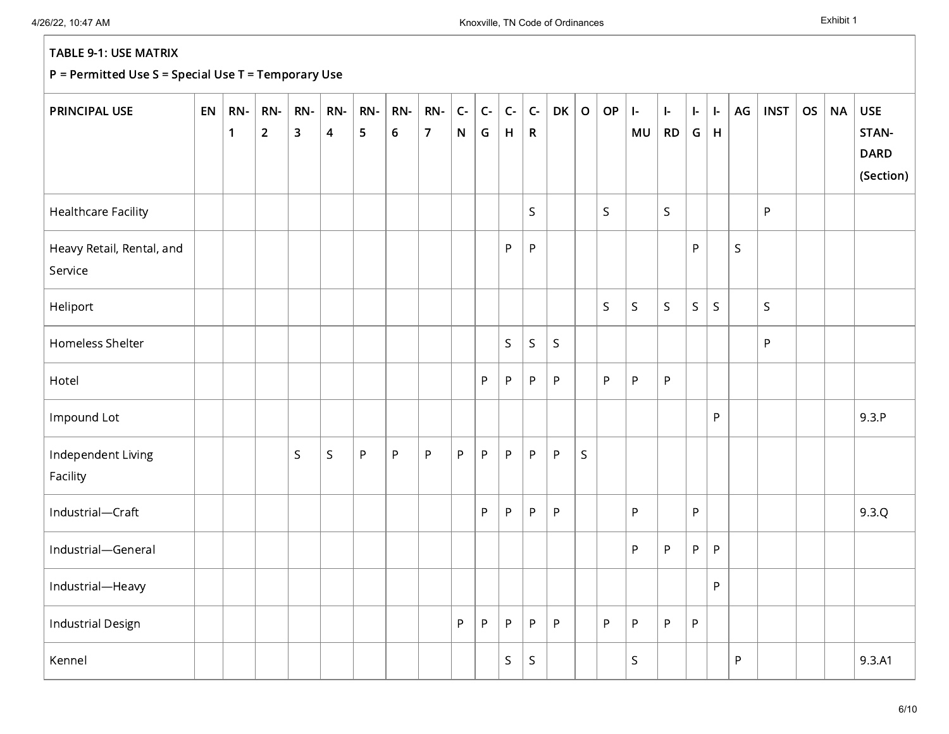| <b>PRINCIPAL USE</b>                 | EN | RN-<br>$\mathbf{1}$ | RN-<br>$\overline{2}$ | RN-<br>$\overline{\mathbf{3}}$ | RN-<br>$\overline{\mathbf{4}}$ | RN-<br>5 | RN-<br>$6\phantom{a}$ | RN-<br>$\overline{7}$ | $\mathsf{C}\text{-}$<br>$\mathsf{N}\xspace$ | $\mathsf{C}\text{-}$<br>G | $\mathsf{C}\text{-}$<br>$\mathsf H$ | $\mathsf{C}\text{-}$<br>$\mathsf{R}$ | DK          | $\mathbf O$ | OP | $\mathsf{I}\text{-}$<br>MU | $\vert$ -<br>RD | $\left\vert -\right\rangle$<br>G | ŀ.<br>H      | AG           | <b>INST</b>                                         | <b>OS</b> | <b>NA</b> | <b>USE</b><br>STAN-<br><b>DARD</b><br>(Section) |
|--------------------------------------|----|---------------------|-----------------------|--------------------------------|--------------------------------|----------|-----------------------|-----------------------|---------------------------------------------|---------------------------|-------------------------------------|--------------------------------------|-------------|-------------|----|----------------------------|-----------------|----------------------------------|--------------|--------------|-----------------------------------------------------|-----------|-----------|-------------------------------------------------|
| <b>Healthcare Facility</b>           |    |                     |                       |                                |                                |          |                       |                       |                                             |                           |                                     | S                                    |             |             | S  |                            | $\mathsf S$     |                                  |              |              | P                                                   |           |           |                                                 |
| Heavy Retail, Rental, and<br>Service |    |                     |                       |                                |                                |          |                       |                       |                                             |                           | $\sf P$                             | P                                    |             |             |    |                            |                 | P.                               |              | $\mathsf{S}$ |                                                     |           |           |                                                 |
| Heliport                             |    |                     |                       |                                |                                |          |                       |                       |                                             |                           |                                     |                                      |             |             | S. | $\mathsf{S}$               | $\mathsf S$     | $\mathsf S$                      | $\mathsf{S}$ |              | $\mathsf{S}$                                        |           |           |                                                 |
| Homeless Shelter                     |    |                     |                       |                                |                                |          |                       |                       |                                             |                           | $\mathsf S$                         | $\sf S$                              | $\mathsf S$ |             |    |                            |                 |                                  |              |              | $\mathsf{P}% _{0}\left( \mathsf{P}_{0}\right) ^{T}$ |           |           |                                                 |
| Hotel                                |    |                     |                       |                                |                                |          |                       |                       |                                             | P                         | P                                   | P                                    | ${\sf P}$   |             | P  | P                          | P               |                                  |              |              |                                                     |           |           |                                                 |
| Impound Lot                          |    |                     |                       |                                |                                |          |                       |                       |                                             |                           |                                     |                                      |             |             |    |                            |                 |                                  | P            |              |                                                     |           |           | 9.3.P                                           |
| Independent Living<br>Facility       |    |                     |                       | S.                             | $\sf S$                        | $\sf P$  | $\sf P$               | $\sf P$               | P                                           | P                         | $\sf P$                             | $\sf P$                              | ${\sf P}$   | $\mathsf S$ |    |                            |                 |                                  |              |              |                                                     |           |           |                                                 |
| Industrial-Craft                     |    |                     |                       |                                |                                |          |                       |                       |                                             | P                         | P                                   | P                                    | ${\sf P}$   |             |    | P                          |                 | P                                |              |              |                                                     |           |           | 9.3.Q                                           |
| Industrial-General                   |    |                     |                       |                                |                                |          |                       |                       |                                             |                           |                                     |                                      |             |             |    | P                          | P               | P                                | $\sf P$      |              |                                                     |           |           |                                                 |
| Industrial-Heavy                     |    |                     |                       |                                |                                |          |                       |                       |                                             |                           |                                     |                                      |             |             |    |                            |                 |                                  | P            |              |                                                     |           |           |                                                 |
| <b>Industrial Design</b>             |    |                     |                       |                                |                                |          |                       |                       | P                                           | P                         | $\sf P$                             | ${\sf P}$                            | ${\sf P}$   |             | P  | P                          | P               | P.                               |              |              |                                                     |           |           |                                                 |
| Kennel                               |    |                     |                       |                                |                                |          |                       |                       |                                             |                           | S                                   | $\sf S$                              |             |             |    | $\mathsf{S}$               |                 |                                  |              | P            |                                                     |           |           | 9.3.A1                                          |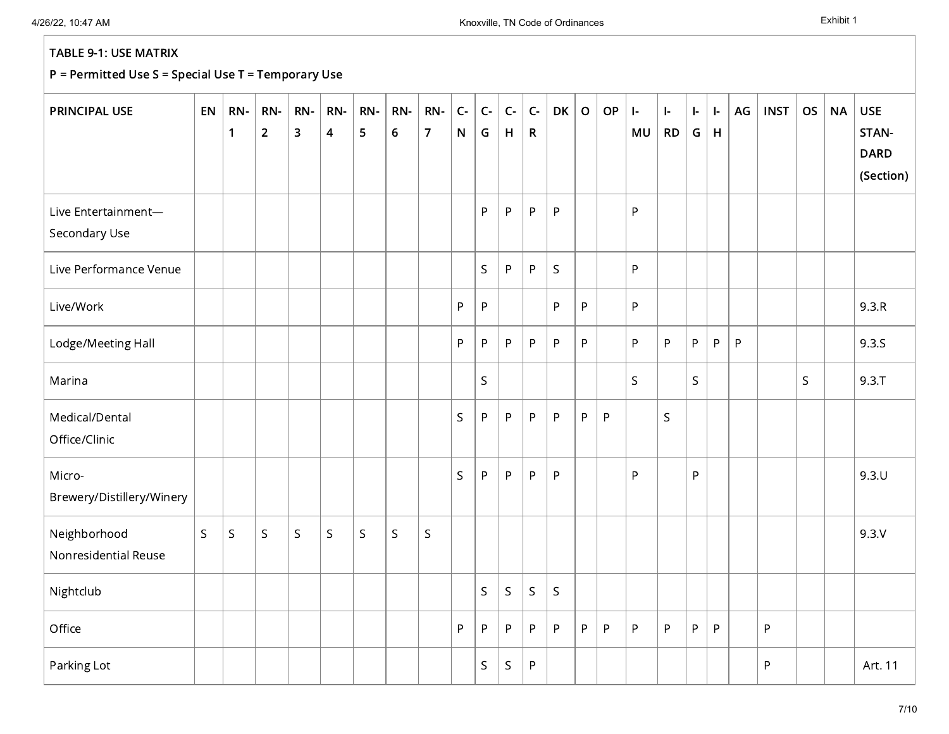| <b>PRINCIPAL USE</b>                 | EN           | RN-<br>$\mathbf{1}$ | RN-<br>$\overline{2}$ | RN-<br>3     | RN-<br>$\overline{\mathbf{4}}$ | RN-<br>5    | RN-<br>$\boldsymbol{6}$ | RN-<br>$\overline{7}$ | $\mathsf{C}\text{-}$<br>${\sf N}$ | $\mathsf{C}\text{-}$<br>G | $C -$<br>H   | $C -$<br>$\mathsf{R}$ | <b>DK</b>    | $\mathsf O$ | OP           | $\mathbf{I}$<br>MU | $\left  - \right $<br><b>RD</b> | $\mathbf{I}$<br>G | ŀ.<br>$\mathsf H$ | AG | <b>INST</b> | <b>OS</b> | <b>NA</b> | <b>USE</b><br>STAN-<br><b>DARD</b><br>(Section) |
|--------------------------------------|--------------|---------------------|-----------------------|--------------|--------------------------------|-------------|-------------------------|-----------------------|-----------------------------------|---------------------------|--------------|-----------------------|--------------|-------------|--------------|--------------------|---------------------------------|-------------------|-------------------|----|-------------|-----------|-----------|-------------------------------------------------|
| Live Entertainment-<br>Secondary Use |              |                     |                       |              |                                |             |                         |                       |                                   | P                         | P            | $\sf P$               | $\mathsf{P}$ |             |              | P                  |                                 |                   |                   |    |             |           |           |                                                 |
| Live Performance Venue               |              |                     |                       |              |                                |             |                         |                       |                                   | S                         | $\mathsf{P}$ | ${\sf P}$             | S            |             |              | P                  |                                 |                   |                   |    |             |           |           |                                                 |
| Live/Work                            |              |                     |                       |              |                                |             |                         |                       | $\mathsf{P}$                      | P                         |              |                       | P            | P           |              | P                  |                                 |                   |                   |    |             |           |           | 9.3.R                                           |
| Lodge/Meeting Hall                   |              |                     |                       |              |                                |             |                         |                       | P                                 | P                         | P            | P                     | ${\sf P}$    | P           |              | P                  | $\mathsf{P}$                    | P                 | P                 | P  |             |           |           | 9.3.S                                           |
| Marina                               |              |                     |                       |              |                                |             |                         |                       |                                   | S                         |              |                       |              |             |              | $\mathsf S$        |                                 | $\mathsf S$       |                   |    |             | S         |           | $9.3 \cdot T$                                   |
| Medical/Dental<br>Office/Clinic      |              |                     |                       |              |                                |             |                         |                       | $\mathsf S$                       | P                         | P.           | ${\sf P}$             | ${\sf P}$    | P           | $\mathsf{P}$ |                    | $\mathsf S$                     |                   |                   |    |             |           |           |                                                 |
| Micro-<br>Brewery/Distillery/Winery  |              |                     |                       |              |                                |             |                         |                       | $\mathsf{S}$                      | P                         | P            | ${\sf P}$             | $\mathsf{P}$ |             |              | P                  |                                 | P                 |                   |    |             |           |           | 9.3U                                            |
| Neighborhood<br>Nonresidential Reuse | $\mathsf{S}$ | $\mathsf S$         | $\sf S$               | $\mathsf{S}$ | $\mathsf S$                    | $\mathsf S$ | $\mathsf S$             | $\sf S$               |                                   |                           |              |                       |              |             |              |                    |                                 |                   |                   |    |             |           |           | 9.3V                                            |
| Nightclub                            |              |                     |                       |              |                                |             |                         |                       |                                   | $\mathsf S$               | $\mathsf S$  | $\mathsf S$           | $\mathsf S$  |             |              |                    |                                 |                   |                   |    |             |           |           |                                                 |
| Office                               |              |                     |                       |              |                                |             |                         |                       | P                                 | P                         | P            | P                     | $\sf P$      | P           | $\mathsf{P}$ | $\mathsf P$        | P                               | ${\sf P}$         | P                 |    | P           |           |           |                                                 |
| Parking Lot                          |              |                     |                       |              |                                |             |                         |                       |                                   | S                         | $\mathsf S$  | P                     |              |             |              |                    |                                 |                   |                   |    | P           |           |           | Art. 11                                         |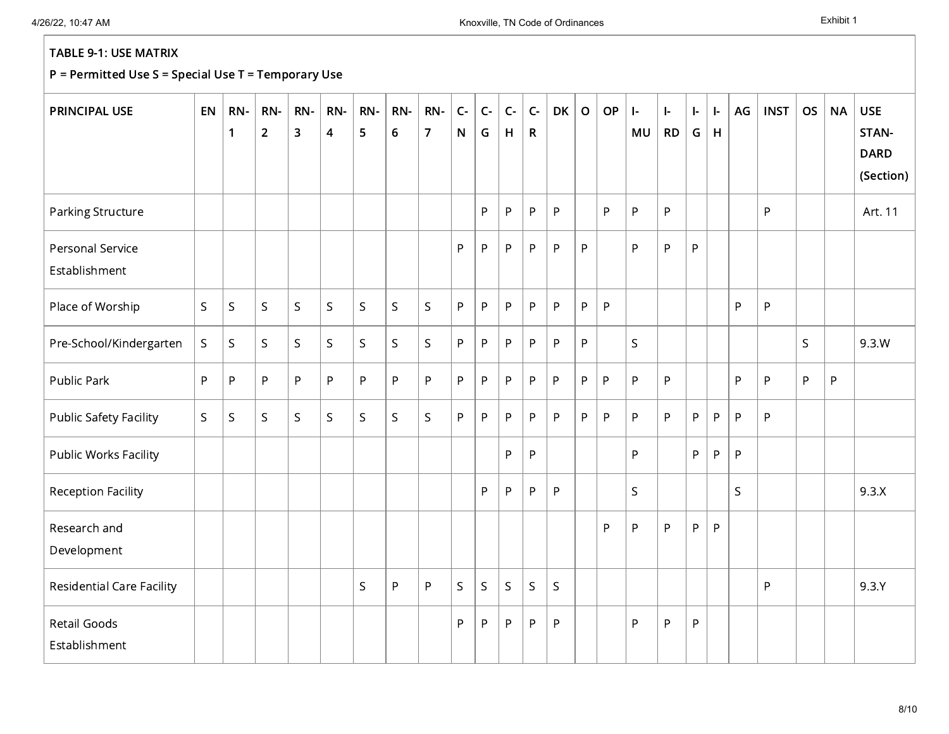| <b>PRINCIPAL USE</b>                 | EN          | RN-<br>$\mathbf{1}$ | RN-<br>$\overline{2}$ | RN-<br>3 | RN-<br>$\overline{\mathbf{4}}$ | RN-<br>5    | RN-<br>$\boldsymbol{6}$ | RN-<br>$\overline{7}$ | $C -$<br>$\mathsf{N}$ | $C -$<br>G   | $C -$<br>H  | $C -$<br>$\mathsf{R}$ | <b>DK</b>    | $\mathbf O$ | <b>OP</b> | $\mathbf{I}$<br>MU | ŀ.<br><b>RD</b> | ŀ.<br>G | ŀ.<br>H      | AG           | <b>INST</b> | <b>OS</b> | <b>NA</b> | <b>USE</b><br>STAN-<br><b>DARD</b><br>(Section) |
|--------------------------------------|-------------|---------------------|-----------------------|----------|--------------------------------|-------------|-------------------------|-----------------------|-----------------------|--------------|-------------|-----------------------|--------------|-------------|-----------|--------------------|-----------------|---------|--------------|--------------|-------------|-----------|-----------|-------------------------------------------------|
| Parking Structure                    |             |                     |                       |          |                                |             |                         |                       |                       | P            | $\sf P$     | P                     | P            |             | P         | P                  | P               |         |              |              | P           |           |           | Art. 11                                         |
| Personal Service<br>Establishment    |             |                     |                       |          |                                |             |                         |                       | P                     | P.           | P           | P                     | P            | P           |           | P                  | P               | P       |              |              |             |           |           |                                                 |
| Place of Worship                     | $\mathsf S$ | $\mathsf S$         | S                     | S.       | $\mathsf S$                    | S           | $\sf S$                 | $\mathsf S$           | P                     | $\mathsf{P}$ | P           | P                     | $\sf P$      | P           | P         |                    |                 |         |              | P            | P           |           |           |                                                 |
| Pre-School/Kindergarten              | S.          | $\mathsf S$         | $\mathsf{S}$          | S.       | S.                             | $\mathsf S$ | $\mathsf S$             | $\mathsf{S}$          | P.                    | P.           | P           | P                     | $\mathsf{P}$ | P           |           | $\mathsf{S}$       |                 |         |              |              |             | S         |           | 9.3.W                                           |
| Public Park                          | P           | $\mathsf{P}$        | P                     | P        | P                              | P           | P                       | P                     | P                     | P            | P           | P                     | $\sf P$      | P           | P         | P                  | $\mathsf{P}$    |         |              | P            | P           | ${\sf P}$ | P         |                                                 |
| <b>Public Safety Facility</b>        | S           | $\sf S$             | $\mathsf{S}$          | S.       | S.                             | $\mathsf S$ | $\sf S$                 | $\mathsf{S}$          | P.                    | P.           | P           | P                     | $\mathsf{P}$ | P           | P         | P                  | P               | P       | P            | P            | P           |           |           |                                                 |
| Public Works Facility                |             |                     |                       |          |                                |             |                         |                       |                       |              | P           | P                     |              |             |           | P.                 |                 | P.      | $\mathsf{P}$ | P            |             |           |           |                                                 |
| <b>Reception Facility</b>            |             |                     |                       |          |                                |             |                         |                       |                       | P.           | ${\sf P}$   | P                     | P            |             |           | $\mathsf{S}$       |                 |         |              | $\mathsf{S}$ |             |           |           | 9.3.X                                           |
| Research and<br>Development          |             |                     |                       |          |                                |             |                         |                       |                       |              |             |                       |              |             | P         | P                  | P               | P       | $\sf P$      |              |             |           |           |                                                 |
| <b>Residential Care Facility</b>     |             |                     |                       |          |                                | $\mathsf S$ | $\mathsf{P}$            | $\mathsf{P}$          | S                     | S            | $\mathsf S$ | $\sf S$               | S            |             |           |                    |                 |         |              |              | P           |           |           | 9.3Y                                            |
| <b>Retail Goods</b><br>Establishment |             |                     |                       |          |                                |             |                         |                       | P                     | P            | ${\sf P}$   | P                     | P            |             |           | P                  | P               | P       |              |              |             |           |           |                                                 |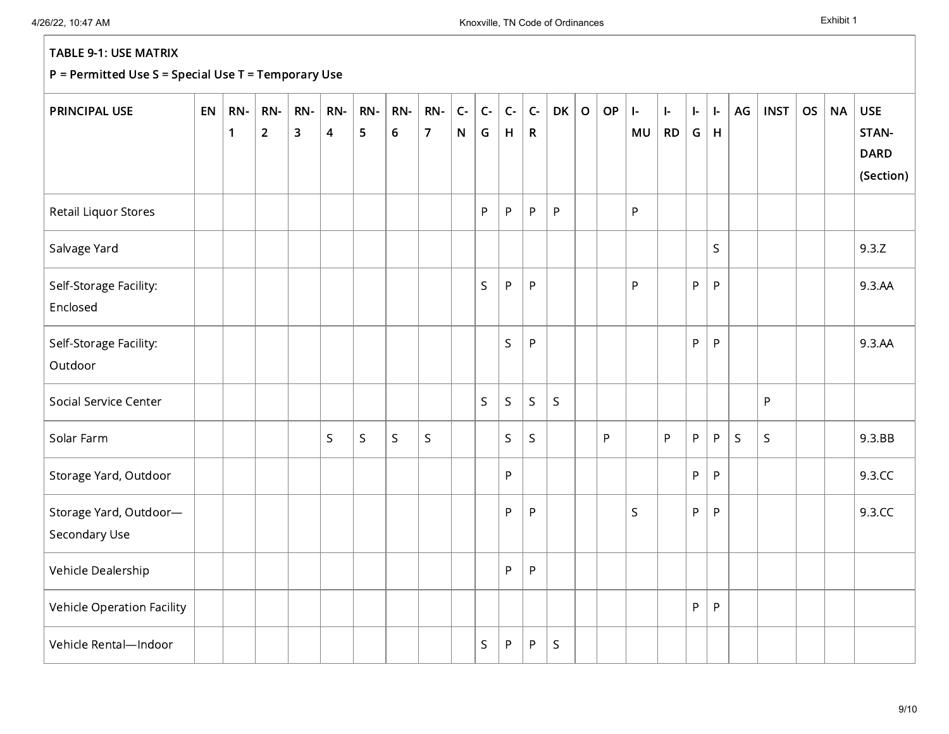| <b>PRINCIPAL USE</b>                    | EN | RN-<br>1 | RN-<br>$\overline{2}$ | RN-<br>$\overline{\mathbf{3}}$ | RN-<br>$\overline{\mathbf{4}}$ | RN-<br>5    | RN-<br>$\boldsymbol{6}$ | RN-<br>$\overline{7}$ | $C -$<br>${\sf N}$ | $C -$<br>G  | $C -$<br>H  | $C -$<br>$\mathsf{R}$ | <b>DK</b>   | $\mathbf O$ | OP | $\left  \cdot \right $<br>MU | $\mathbf{I}$<br><b>RD</b> | ŀ.<br>G | $\mathbf{L}$<br>$\mathsf H$ | AG          | <b>INST</b> | <b>OS</b> | <b>NA</b> | <b>USE</b><br>STAN-      |
|-----------------------------------------|----|----------|-----------------------|--------------------------------|--------------------------------|-------------|-------------------------|-----------------------|--------------------|-------------|-------------|-----------------------|-------------|-------------|----|------------------------------|---------------------------|---------|-----------------------------|-------------|-------------|-----------|-----------|--------------------------|
|                                         |    |          |                       |                                |                                |             |                         |                       |                    |             |             |                       |             |             |    |                              |                           |         |                             |             |             |           |           | <b>DARD</b><br>(Section) |
| Retail Liquor Stores                    |    |          |                       |                                |                                |             |                         |                       |                    | P           | P           | ${\sf P}$             | $\sf P$     |             |    | P                            |                           |         |                             |             |             |           |           |                          |
| Salvage Yard                            |    |          |                       |                                |                                |             |                         |                       |                    |             |             |                       |             |             |    |                              |                           |         | $\mathsf S$                 |             |             |           |           | 9.3.Z                    |
| Self-Storage Facility:<br>Enclosed      |    |          |                       |                                |                                |             |                         |                       |                    | $\mathsf S$ | P           | ${\sf P}$             |             |             |    | P                            |                           | P       | $\mathsf{P}$                |             |             |           |           | 9.3.AA                   |
| Self-Storage Facility:<br>Outdoor       |    |          |                       |                                |                                |             |                         |                       |                    |             | $\mathsf S$ | P                     |             |             |    |                              |                           | P       | P                           |             |             |           |           | 9.3.AA                   |
| Social Service Center                   |    |          |                       |                                |                                |             |                         |                       |                    | S           | S.          | S                     | $\mathsf S$ |             |    |                              |                           |         |                             |             | P           |           |           |                          |
| Solar Farm                              |    |          |                       |                                | S                              | $\mathsf S$ | $\mathsf{S}$            | $\mathsf S$           |                    |             | S           | $\mathsf S$           |             |             | P  |                              | P                         | P       | P                           | $\mathsf S$ | S           |           |           | 9.3.BB                   |
| Storage Yard, Outdoor                   |    |          |                       |                                |                                |             |                         |                       |                    |             | P           |                       |             |             |    |                              |                           | P       | P                           |             |             |           |           | 9.3.CC                   |
| Storage Yard, Outdoor-<br>Secondary Use |    |          |                       |                                |                                |             |                         |                       |                    |             | P           | ${\sf P}$             |             |             |    | $\mathsf S$                  |                           | P       | P                           |             |             |           |           | 9.3.CC                   |
| Vehicle Dealership                      |    |          |                       |                                |                                |             |                         |                       |                    |             | P           | ${\sf P}$             |             |             |    |                              |                           |         |                             |             |             |           |           |                          |
| Vehicle Operation Facility              |    |          |                       |                                |                                |             |                         |                       |                    |             |             |                       |             |             |    |                              |                           | P       | $\mathsf{P}$                |             |             |           |           |                          |
| Vehicle Rental-Indoor                   |    |          |                       |                                |                                |             |                         |                       |                    | S           | P           | P                     | S           |             |    |                              |                           |         |                             |             |             |           |           |                          |